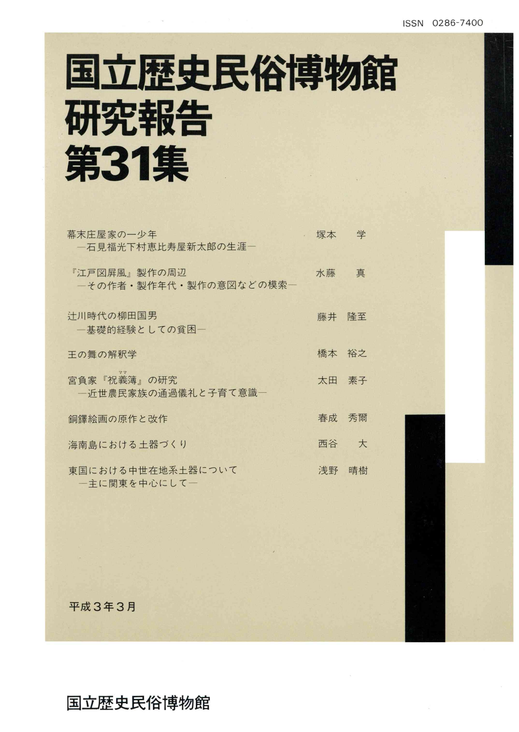# 国立歴史民俗博物館 研究報告 第31集

| 幕末庄屋家の一少年<br>一石見福光下村恵比寿屋新太郎の生涯―        | 塚本    | 学  |
|----------------------------------------|-------|----|
| 『江戸図屛風』製作の周辺<br>一その作者・製作年代・製作の意図などの模索ー | 水藤    | 真  |
| 计川時代の柳田国男<br>一基礎的経験としての貧困ー             | 藤井    | 降至 |
| 王の舞の解釈学                                | 橋本    | 裕之 |
| 宮負家『祝義簿』の研究<br>一近世農民家族の通過儀礼と子育て意識―     | 太田 素子 |    |
| 銅鐸絵画の原作と改作                             | 春成    | 秀爾 |
| 海南島における土器づくり                           | 西谷    | 大  |
| 東国における中世在地系土器について<br>一主に関東を中心にして一      | 浅野    | 晴樹 |

平成3年3月

#### 国立歴史民俗博物館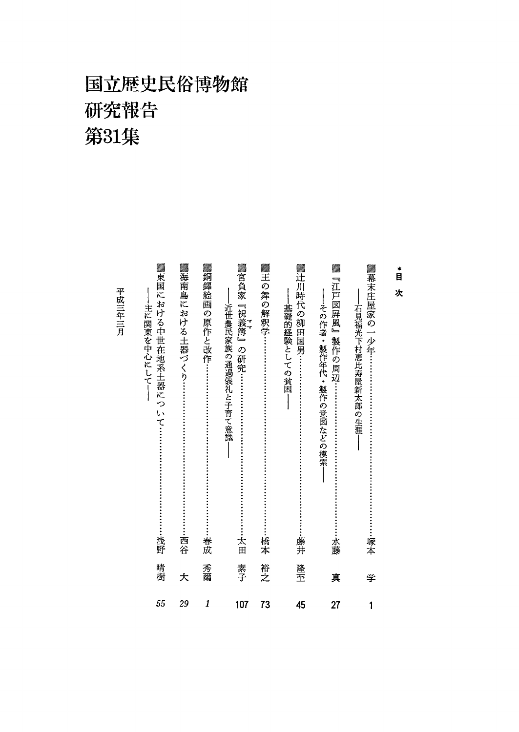## 国立歴史民俗博物館 研究報告 第31集

**|▓海南島における土器づくり………………………………………西谷 ▓銅鐸絵画の原作と改作……………………………………………** ▓王の舞の解釈学………………………………………………  $\frac{1}{2}$ ▓銅鐸絵画の原作と改作…………………………………………………………………………………………春☆ >王の舞の解釈学…………:……・…………:……・…………:……・…橋本 |▓『江戸図屛風』製作の周辺………………………………………………水藤 〉東国における中世在地系土器について………………・・……・………浅野 >辻川時代の柳田国男………………・・……………:…・…………:-…藤井 ▒『江戸図屛風』製作の周辺………………………………………………水藤 ——基礎的経験としての貧困―― ――その作者・製作年代・製作の意図などの模索―― ――石見福光下村恵比寿屋新太郎の生涯―― |||主に関東を中心にして|| ――近世農民家族の通過儀礼と子育て意識―― 負家『祝義簿』の研究………………………………………………………………太田 次 ――その作者・製作年代・製作の意図などの模索 島における土器づくり………………・・……………:…・・………西谷 –石見福光下村恵比寿屋新太郎の生涯 近世農民家族の通過儀礼と子育て意識 -基礎的経験としての貧困 主に関東を中心にして 家の一少年………………・・……………:…・・………………塚本  $\vert$  $\mathbf{I}$ 浅野 春成 ・橋本 ・藤井 晴<br>樹大爾 裕之 素子 隆至 真 学 107 73 45 27 1 55 29 1 45 27

平成三年三月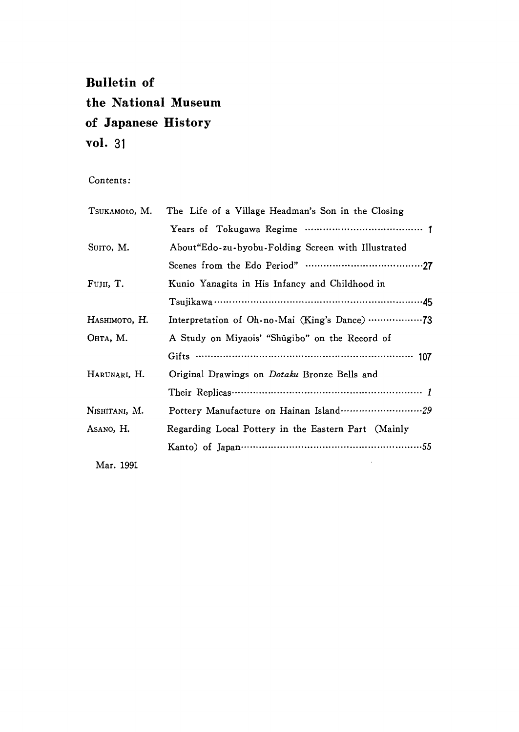### Bu11etin of the National Museum of Japanese History vol. 31

#### Contents:

| TSUKAMOtO, M. | The Life of a Village Headman's Son in the Closing  |
|---------------|-----------------------------------------------------|
|               |                                                     |
| SUITO, M.     | About "Edo-zu-byobu-Folding Screen with Illustrated |
|               |                                                     |
| Fujii, T.     | Kunio Yanagita in His Infancy and Childhood in      |
|               |                                                     |
| Наѕнімото, Н. |                                                     |
| Онта, М.      | A Study on Miyaois' "Shûgibo" on the Record of      |
|               |                                                     |
| Harunari, H.  | Original Drawings on <i>Dotaku</i> Bronze Bells and |
|               |                                                     |
| Nishitani, M. |                                                     |
| Asano, H.     | Regarding Local Pottery in the Eastern Part (Mainly |
|               | Kanto) of Japan…………………………………………………55                |
| Mar. 1991     |                                                     |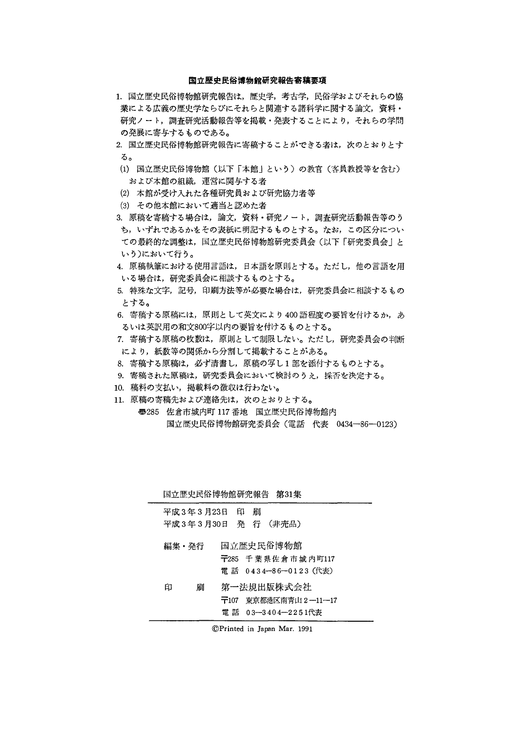#### 国立歴史民俗博物館研究報告寄稿要項

- 1.国立歴史民俗博物館研究報告は,歴史学,考古学,民俗学およびそれらの協 業による広義の歴史学ならびにそれらと関連する諸科学に関する論文,資料・ 研究ノート,調査研究活動報告等を掲載・発表することにより,それらの学問 の発展に寄与するものである。
- 2. 国立歴史民俗博物館研究報告に寄稿することができる者は、次のとおりとす る。
- (1)国立歴史民俗博物館(以下「本館」という)の教官(客員教授等を含む) および本館の組織,運営に関与する者
- (2)本館が受け入れた各種研究員および研究協力者等
- (3)その他本館において適当と認めた者
- 3.原稿を寄稿する場合は,論文,資料・研究ノート,調査研究活動報告等のう ち,いずれであるかをその表紙に明記するものとする。なお,この区分につい ての最終的な調整は,国立歴史民俗博物館研究委員会(以下「研究委員会」と いう)において行う。
- 4. 原稿執筆における使用言語は、日本語を原則とする。ただし、他の言語を用 いる場合は,研究委員会に相談するものとする。
- 5特殊な文字,記号,印刷方法等が必要な場合は,研究委員会に相談するもの とする。
- 6. 寄稿する原稿には、原則として英文により400語程度の要旨を付けるか、あ るいは英訳用の和文800字以内の要旨を付けるものとする。
- 7.寄稿する原稿の枚数は,原則として制限しない。ただし,研究委員会の判断 により,紙数等の関係から分割して掲載することがある。
- 8.寄稿する原稿は,必ず清書し,原稿の写し1部を添付するものとする。
- 9. 寄稿された原稿は、研究委員会において検討のうえ、採否を決定する。
- 10.稿料の支払い,掲載料の徴収は行わない。
- 11. 原稿の寄稿先および連絡先は、次のとおりとする。
	- ㊦285佐倉市城内町117番地 国立歴史民俗博物館内 国立歴史民俗博物館研究委員会(電話 代表 0434-86-0123)

|       |                 | 国立歴史民俗博物館研究報告 第31集                                       |  |
|-------|-----------------|----------------------------------------------------------|--|
|       | 平成 3年 3月23日 印 刷 | 平成3年3月30日 発 行 (非売品)                                      |  |
| 編集・発行 |                 | 国立歴史民俗博物館<br>〒285 千葉県佐倉市城内町117<br>電話 0434-86-0123 (代表)   |  |
| 印     | 刷               | 第一法規出版株式会社<br>〒107 東京都港区南青山2―11―17<br>電 話 03—3404—2251代表 |  |

◎Printed in Japan Mar.1991